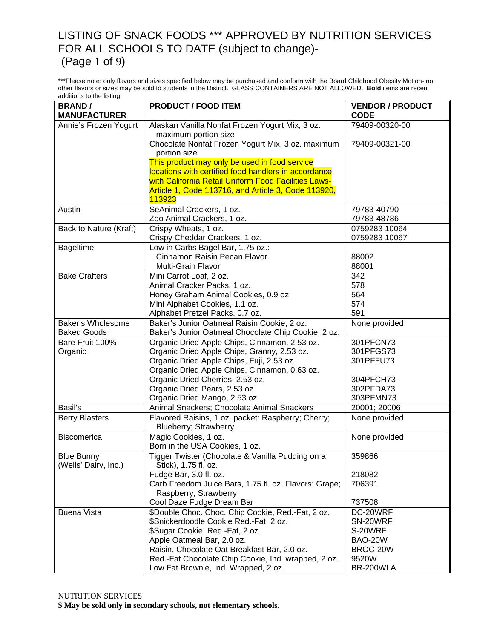#### LISTING OF SNACK FOODS \*\*\* APPROVED BY NUTRITION SERVICES FOR ALL SCHOOLS TO DATE (subject to change)- (Page 1 of 9)

\*\*\*Please note: only flavors and sizes specified below may be purchased and conform with the Board Childhood Obesity Motion- no other flavors or sizes may be sold to students in the District. GLASS CONTAINERS ARE NOT ALLOWED. **Bold** items are recent additions to the listing.

| <b>BRAND/</b>          | <b>PRODUCT / FOOD ITEM</b>                                               | <b>VENDOR / PRODUCT</b> |
|------------------------|--------------------------------------------------------------------------|-------------------------|
| <b>MANUFACTURER</b>    |                                                                          | <b>CODE</b>             |
| Annie's Frozen Yogurt  | Alaskan Vanilla Nonfat Frozen Yogurt Mix, 3 oz.                          | 79409-00320-00          |
|                        | maximum portion size                                                     |                         |
|                        | Chocolate Nonfat Frozen Yogurt Mix, 3 oz. maximum                        | 79409-00321-00          |
|                        | portion size                                                             |                         |
|                        | This product may only be used in food service                            |                         |
|                        | locations with certified food handlers in accordance                     |                         |
|                        | with California Retail Uniform Food Facilities Laws-                     |                         |
|                        | Article 1, Code 113716, and Article 3, Code 113920,<br>113923            |                         |
| Austin                 | SeAnimal Crackers, 1 oz.                                                 | 79783-40790             |
|                        | Zoo Animal Crackers, 1 oz.                                               | 79783-48786             |
| Back to Nature (Kraft) | Crispy Wheats, 1 oz.                                                     | 0759283 10064           |
|                        | Crispy Cheddar Crackers, 1 oz.                                           | 0759283 10067           |
| Bageltime              | Low in Carbs Bagel Bar, 1.75 oz.:                                        |                         |
|                        | Cinnamon Raisin Pecan Flavor                                             | 88002                   |
|                        | Multi-Grain Flavor                                                       | 88001                   |
| <b>Bake Crafters</b>   | Mini Carrot Loaf, 2 oz.                                                  | 342                     |
|                        | Animal Cracker Packs, 1 oz.                                              | 578                     |
|                        | Honey Graham Animal Cookies, 0.9 oz.                                     | 564                     |
|                        | Mini Alphabet Cookies, 1.1 oz.                                           | 574                     |
|                        | Alphabet Pretzel Packs, 0.7 oz.                                          | 591                     |
| Baker's Wholesome      | Baker's Junior Oatmeal Raisin Cookie, 2 oz.                              | None provided           |
| <b>Baked Goods</b>     | Baker's Junior Oatmeal Chocolate Chip Cookie, 2 oz.                      |                         |
| Bare Fruit 100%        | Organic Dried Apple Chips, Cinnamon, 2.53 oz.                            | 301PFCN73               |
| Organic                | Organic Dried Apple Chips, Granny, 2.53 oz.                              | 301PFGS73               |
|                        | Organic Dried Apple Chips, Fuji, 2.53 oz.                                | 301PFFU73               |
|                        | Organic Dried Apple Chips, Cinnamon, 0.63 oz.                            |                         |
|                        | Organic Dried Cherries, 2.53 oz.                                         | 304PFCH73               |
|                        | Organic Dried Pears, 2.53 oz.                                            | 302PFDA73               |
|                        | Organic Dried Mango, 2.53 oz.                                            | 303PFMN73               |
| Basil's                | Animal Snackers; Chocolate Animal Snackers                               | 20001; 20006            |
| <b>Berry Blasters</b>  | Flavored Raisins, 1 oz. packet: Raspberry; Cherry;                       | None provided           |
|                        | Blueberry; Strawberry                                                    |                         |
| Biscomerica            | Magic Cookies, 1 oz.                                                     | None provided           |
|                        | Born in the USA Cookies, 1 oz.                                           |                         |
| <b>Blue Bunny</b>      | Tigger Twister (Chocolate & Vanilla Pudding on a<br>Stick), 1.75 fl. oz. | 359866                  |
| (Wells' Dairy, Inc.)   | Fudge Bar, 3.0 fl. oz.                                                   |                         |
|                        | Carb Freedom Juice Bars, 1.75 fl. oz. Flavors: Grape;                    | 218082<br>706391        |
|                        | Raspberry; Strawberry                                                    |                         |
|                        | Cool Daze Fudge Dream Bar                                                | 737508                  |
| <b>Buena Vista</b>     | \$Double Choc. Choc. Chip Cookie, Red.-Fat, 2 oz.                        | DC-20WRF                |
|                        | \$Snickerdoodle Cookie Red.-Fat, 2 oz.                                   | SN-20WRF                |
|                        | \$Sugar Cookie, Red.-Fat, 2 oz.                                          | S-20WRF                 |
|                        | Apple Oatmeal Bar, 2.0 oz.                                               | BAO-20W                 |
|                        | Raisin, Chocolate Oat Breakfast Bar, 2.0 oz.                             | BROC-20W                |
|                        | Red.-Fat Chocolate Chip Cookie, Ind. wrapped, 2 oz.                      | 9520W                   |
|                        | Low Fat Brownie, Ind. Wrapped, 2 oz.                                     | BR-200WLA               |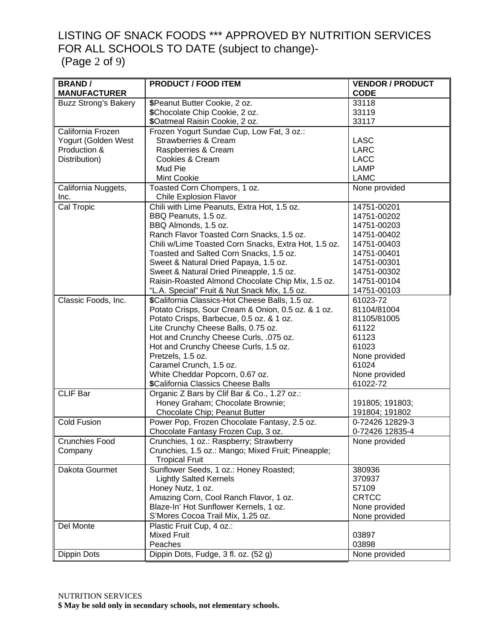# LISTING OF SNACK FOODS \*\*\* APPROVED BY NUTRITION SERVICES FOR ALL SCHOOLS TO DATE (subject to change)-

(Page 2 of 9)

| <b>BRAND/</b>               | <b>PRODUCT / FOOD ITEM</b>                           | <b>VENDOR / PRODUCT</b> |
|-----------------------------|------------------------------------------------------|-------------------------|
| <b>MANUFACTURER</b>         |                                                      | <b>CODE</b>             |
| <b>Buzz Strong's Bakery</b> | \$Peanut Butter Cookie, 2 oz.                        | 33118                   |
|                             | \$Chocolate Chip Cookie, 2 oz.                       | 33119                   |
|                             | \$Oatmeal Raisin Cookie, 2 oz.                       | 33117                   |
| California Frozen           | Frozen Yogurt Sundae Cup, Low Fat, 3 oz.:            |                         |
| Yogurt (Golden West         | <b>Strawberries &amp; Cream</b>                      | <b>LASC</b>             |
| Production &                | Raspberries & Cream                                  | <b>LARC</b>             |
| Distribution)               | Cookies & Cream                                      | <b>LACC</b>             |
|                             | Mud Pie                                              | LAMP                    |
|                             | Mint Cookie                                          | <b>LAMC</b>             |
| California Nuggets,         | Toasted Corn Chompers, 1 oz.                         | None provided           |
| Inc.                        | <b>Chile Explosion Flavor</b>                        |                         |
| Cal Tropic                  | Chili with Lime Peanuts, Extra Hot, 1.5 oz.          | 14751-00201             |
|                             | BBQ Peanuts, 1.5 oz.                                 | 14751-00202             |
|                             | BBQ Almonds, 1.5 oz.                                 | 14751-00203             |
|                             | Ranch Flavor Toasted Corn Snacks, 1.5 oz.            | 14751-00402             |
|                             | Chili w/Lime Toasted Corn Snacks, Extra Hot, 1.5 oz. | 14751-00403             |
|                             | Toasted and Salted Corn Snacks, 1.5 oz.              | 14751-00401             |
|                             | Sweet & Natural Dried Papaya, 1.5 oz.                | 14751-00301             |
|                             | Sweet & Natural Dried Pineapple, 1.5 oz.             | 14751-00302             |
|                             | Raisin-Roasted Almond Chocolate Chip Mix, 1.5 oz.    | 14751-00104             |
|                             | "L.A. Special" Fruit & Nut Snack Mix, 1.5 oz.        | 14751-00103             |
| Classic Foods, Inc.         | \$California Classics-Hot Cheese Balls, 1.5 oz.      | 61023-72                |
|                             | Potato Crisps, Sour Cream & Onion, 0.5 oz. & 1 oz.   | 81104/81004             |
|                             | Potato Crisps, Barbecue, 0.5 oz. & 1 oz.             | 81105/81005             |
|                             | Lite Crunchy Cheese Balls, 0.75 oz.                  | 61122                   |
|                             | Hot and Crunchy Cheese Curls, .075 oz.               | 61123                   |
|                             | Hot and Crunchy Cheese Curls, 1.5 oz.                | 61023                   |
|                             | Pretzels, 1.5 oz.                                    | None provided           |
|                             | Caramel Crunch, 1.5 oz.                              | 61024                   |
|                             | White Cheddar Popcorn, 0.67 oz.                      | None provided           |
|                             | \$California Classics Cheese Balls                   | 61022-72                |
| <b>CLIF Bar</b>             | Organic Z Bars by Clif Bar & Co., 1.27 oz.:          |                         |
|                             | Honey Graham; Chocolate Brownie;                     | 191805; 191803;         |
|                             | Chocolate Chip; Peanut Butter                        | 191804; 191802          |
| <b>Cold Fusion</b>          | Power Pop, Frozen Chocolate Fantasy, 2.5 oz.         | 0-72426 12829-3         |
|                             | Chocolate Fantasy Frozen Cup, 3 oz.                  | 0-72426 12835-4         |
| Crunchies Food              | Crunchies, 1 oz.: Raspberry; Strawberry              | None provided           |
| Company                     | Crunchies, 1.5 oz.: Mango; Mixed Fruit; Pineapple;   |                         |
|                             | <b>Tropical Fruit</b>                                |                         |
| Dakota Gourmet              | Sunflower Seeds, 1 oz.: Honey Roasted;               | 380936                  |
|                             | <b>Lightly Salted Kernels</b>                        | 370937                  |
|                             | Honey Nutz, 1 oz.                                    | 57109                   |
|                             | Amazing Corn, Cool Ranch Flavor, 1 oz.               | <b>CRTCC</b>            |
|                             | Blaze-In' Hot Sunflower Kernels, 1 oz.               | None provided           |
|                             | S'Mores Cocoa Trail Mix, 1.25 oz.                    | None provided           |
| Del Monte                   | Plastic Fruit Cup, 4 oz.:                            |                         |
|                             | Mixed Fruit                                          | 03897                   |
|                             | Peaches                                              | 03898                   |
| Dippin Dots                 | Dippin Dots, Fudge, 3 fl. oz. (52 g)                 | None provided           |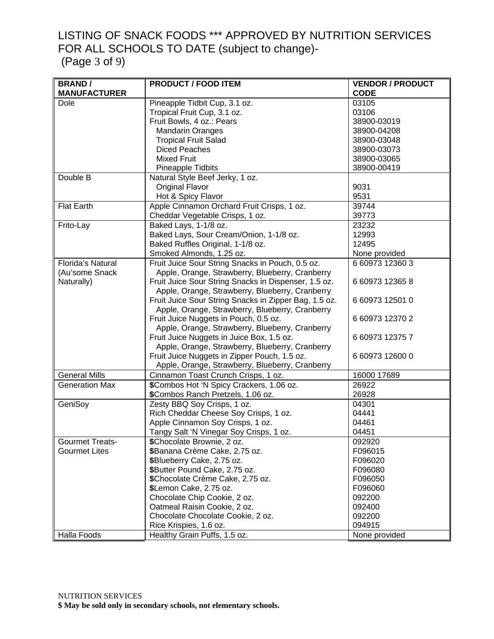# LISTING OF SNACK FOODS \*\*\* APPROVED BY NUTRITION SERVICES FOR ALL SCHOOLS TO DATE (subject to change)-

(Page 3 of 9)

| <b>BRAND/</b>            | <b>PRODUCT / FOOD ITEM</b>                            | <b>VENDOR / PRODUCT</b> |
|--------------------------|-------------------------------------------------------|-------------------------|
| <b>MANUFACTURER</b>      |                                                       | <b>CODE</b>             |
| Dole                     | Pineapple Tidbit Cup, 3.1 oz.                         | 03105                   |
|                          | Tropical Fruit Cup, 3.1 oz.                           | 03106                   |
|                          | Fruit Bowls, 4 oz.: Pears                             | 38900-03019             |
|                          | <b>Mandarin Oranges</b>                               | 38900-04208             |
|                          | <b>Tropical Fruit Salad</b>                           | 38900-03048             |
|                          | <b>Diced Peaches</b>                                  | 38900-03073             |
|                          | <b>Mixed Fruit</b>                                    | 38900-03065             |
|                          | Pineapple Tidbits                                     | 38900-00419             |
| Double B                 | Natural Style Beef Jerky, 1 oz.                       |                         |
|                          | <b>Original Flavor</b>                                | 9031                    |
|                          | Hot & Spicy Flavor                                    | 9531                    |
| <b>Flat Earth</b>        | Apple Cinnamon Orchard Fruit Crisps, 1 oz.            | 39744                   |
|                          | Cheddar Vegetable Crisps, 1 oz.                       | 39773                   |
| Frito-Lay                | Baked Lays, 1-1/8 oz.                                 | 23232                   |
|                          | Baked Lays, Sour Cream/Onion, 1-1/8 oz.               | 12993                   |
|                          | Baked Ruffles Original, 1-1/8 oz.                     | 12495                   |
|                          | Smoked Almonds, 1.25 oz.                              | None provided           |
| <b>Florida's Natural</b> | Fruit Juice Sour String Snacks in Pouch, 0.5 oz.      | 6 60973 12360 3         |
| (Au'some Snack           | Apple, Orange, Strawberry, Blueberry, Cranberry       |                         |
| Naturally)               | Fruit Juice Sour String Snacks in Dispenser, 1.5 oz.  | 6 60973 12365 8         |
|                          | Apple, Orange, Strawberry, Blueberry, Cranberry       |                         |
|                          | Fruit Juice Sour String Snacks in Zipper Bag, 1.5 oz. | 6 60973 12501 0         |
|                          | Apple, Orange, Strawberry, Blueberry, Cranberry       |                         |
|                          | Fruit Juice Nuggets in Pouch, 0.5 oz.                 | 6 60973 12370 2         |
|                          | Apple, Orange, Strawberry, Blueberry, Cranberry       |                         |
|                          | Fruit Juice Nuggets in Juice Box, 1.5 oz.             | 6 60973 12375 7         |
|                          | Apple, Orange, Strawberry, Blueberry, Cranberry       |                         |
|                          | Fruit Juice Nuggets in Zipper Pouch, 1.5 oz.          | 6 60973 12600 0         |
|                          | Apple, Orange, Strawberry, Blueberry, Cranberry       |                         |
| <b>General Mills</b>     | Cinnamon Toast Crunch Crisps, 1 oz.                   | 16000 17689             |
| <b>Generation Max</b>    | \$Combos Hot 'N Spicy Crackers, 1.06 oz.              | 26922                   |
|                          | \$Combos Ranch Pretzels, 1.06 oz.                     | 26928                   |
| GeniSoy                  | Zesty BBQ Soy Crisps, 1 oz.                           | 04301                   |
|                          | Rich Cheddar Cheese Soy Crisps, 1 oz.                 | 04441                   |
|                          | Apple Cinnamon Soy Crisps, 1 oz.                      | 04461                   |
|                          | Tangy Salt 'N Vinegar Soy Crisps, 1 oz.               | 04451                   |
| <b>Gourmet Treats-</b>   | \$Chocolate Brownie, 2 oz.                            | 092920                  |
| <b>Gourmet Lites</b>     | \$Banana Crème Cake, 2.75 oz.                         | F096015                 |
|                          | \$Blueberry Cake, 2.75 oz.                            | F096020                 |
|                          | \$Butter Pound Cake, 2.75 oz.                         | F096080                 |
|                          | \$Chocolate Crème Cake, 2.75 oz.                      | F096050                 |
|                          | \$Lemon Cake, 2.75 oz.                                | F096060                 |
|                          | Chocolate Chip Cookie, 2 oz.                          | 092200                  |
|                          | Oatmeal Raisin Cookie, 2 oz.                          | 092400                  |
|                          | Chocolate Chocolate Cookie, 2 oz.                     | 092200                  |
|                          | Rice Krispies, 1.6 oz.                                | 094915                  |
| Halla Foods              | Healthy Grain Puffs, 1.5 oz.                          | None provided           |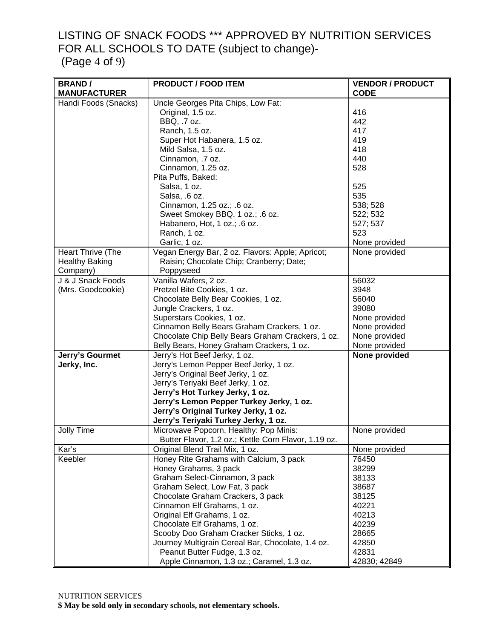#### LISTING OF SNACK FOODS \*\*\* APPROVED BY NUTRITION SERVICES FOR ALL SCHOOLS TO DATE (subject to change)- (Page 4 of 9)

| <b>BRAND/</b>         | <b>PRODUCT / FOOD ITEM</b>                           | <b>VENDOR / PRODUCT</b> |
|-----------------------|------------------------------------------------------|-------------------------|
| <b>MANUFACTURER</b>   |                                                      | <b>CODE</b>             |
| Handi Foods (Snacks)  | Uncle Georges Pita Chips, Low Fat:                   |                         |
|                       | Original, 1.5 oz.                                    | 416                     |
|                       | BBQ, .7 oz.                                          | 442                     |
|                       | Ranch, 1.5 oz.                                       | 417                     |
|                       | Super Hot Habanera, 1.5 oz.                          | 419                     |
|                       | Mild Salsa, 1.5 oz.                                  | 418                     |
|                       | Cinnamon, .7 oz.                                     | 440                     |
|                       | Cinnamon, 1.25 oz.                                   | 528                     |
|                       | Pita Puffs, Baked:                                   |                         |
|                       | Salsa, 1 oz.                                         | 525                     |
|                       | Salsa, .6 oz.                                        | 535                     |
|                       | Cinnamon, 1.25 oz.; .6 oz.                           | 538; 528                |
|                       |                                                      |                         |
|                       | Sweet Smokey BBQ, 1 oz.; .6 oz.                      | 522; 532                |
|                       | Habanero, Hot, 1 oz.; .6 oz.                         | 527; 537<br>523         |
|                       | Ranch, 1 oz.                                         |                         |
|                       | Garlic, 1 oz.                                        | None provided           |
| Heart Thrive (The     | Vegan Energy Bar, 2 oz. Flavors: Apple; Apricot;     | None provided           |
| <b>Healthy Baking</b> | Raisin; Chocolate Chip; Cranberry; Date;             |                         |
| Company)              | Poppyseed                                            |                         |
| J & J Snack Foods     | Vanilla Wafers, 2 oz.                                | 56032                   |
| (Mrs. Goodcookie)     | Pretzel Bite Cookies, 1 oz.                          | 3948                    |
|                       | Chocolate Belly Bear Cookies, 1 oz.                  | 56040                   |
|                       | Jungle Crackers, 1 oz.                               | 39080                   |
|                       | Superstars Cookies, 1 oz.                            | None provided           |
|                       | Cinnamon Belly Bears Graham Crackers, 1 oz.          | None provided           |
|                       | Chocolate Chip Belly Bears Graham Crackers, 1 oz.    | None provided           |
|                       | Belly Bears, Honey Graham Crackers, 1 oz.            | None provided           |
| Jerry's Gourmet       | Jerry's Hot Beef Jerky, 1 oz.                        | None provided           |
| Jerky, Inc.           | Jerry's Lemon Pepper Beef Jerky, 1 oz.               |                         |
|                       | Jerry's Original Beef Jerky, 1 oz.                   |                         |
|                       | Jerry's Teriyaki Beef Jerky, 1 oz.                   |                         |
|                       | Jerry's Hot Turkey Jerky, 1 oz.                      |                         |
|                       | Jerry's Lemon Pepper Turkey Jerky, 1 oz.             |                         |
|                       | Jerry's Original Turkey Jerky, 1 oz.                 |                         |
|                       | Jerry's Teriyaki Turkey Jerky, 1 oz.                 |                         |
| Jolly Time            | Microwave Popcorn, Healthy: Pop Minis:               | None provided           |
|                       | Butter Flavor, 1.2 oz.; Kettle Corn Flavor, 1.19 oz. |                         |
| Kar's                 | Original Blend Trail Mix, 1 oz.                      | None provided           |
| Keebler               | Honey Rite Grahams with Calcium, 3 pack              | 76450                   |
|                       | Honey Grahams, 3 pack                                | 38299                   |
|                       | Graham Select-Cinnamon, 3 pack                       | 38133                   |
|                       | Graham Select, Low Fat, 3 pack                       | 38687                   |
|                       | Chocolate Graham Crackers, 3 pack                    | 38125                   |
|                       | Cinnamon Elf Grahams, 1 oz.                          | 40221                   |
|                       | Original Elf Grahams, 1 oz.                          | 40213                   |
|                       | Chocolate Elf Grahams, 1 oz.                         | 40239                   |
|                       | Scooby Doo Graham Cracker Sticks, 1 oz.              | 28665                   |
|                       | Journey Multigrain Cereal Bar, Chocolate, 1.4 oz.    | 42850                   |
|                       | Peanut Butter Fudge, 1.3 oz.                         | 42831                   |
|                       | Apple Cinnamon, 1.3 oz.; Caramel, 1.3 oz.            | 42830; 42849            |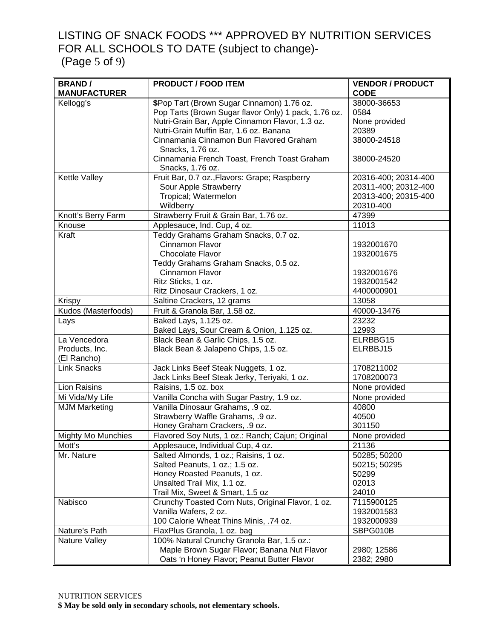#### LISTING OF SNACK FOODS \*\*\* APPROVED BY NUTRITION SERVICES FOR ALL SCHOOLS TO DATE (subject to change)- (Page 5 of 9)

| <b>BRAND/</b>             | <b>PRODUCT / FOOD ITEM</b>                                        | <b>VENDOR / PRODUCT</b> |
|---------------------------|-------------------------------------------------------------------|-------------------------|
| <b>MANUFACTURER</b>       |                                                                   | <b>CODE</b>             |
| Kellogg's                 | \$Pop Tart (Brown Sugar Cinnamon) 1.76 oz.                        | 38000-36653             |
|                           | Pop Tarts (Brown Sugar flavor Only) 1 pack, 1.76 oz.              | 0584                    |
|                           | Nutri-Grain Bar, Apple Cinnamon Flavor, 1.3 oz.                   | None provided           |
|                           | Nutri-Grain Muffin Bar, 1.6 oz. Banana                            | 20389                   |
|                           | Cinnamania Cinnamon Bun Flavored Graham                           | 38000-24518             |
|                           | Snacks, 1.76 oz.                                                  |                         |
|                           | Cinnamania French Toast, French Toast Graham                      | 38000-24520             |
| Kettle Valley             | Snacks, 1.76 oz.<br>Fruit Bar, 0.7 oz., Flavors: Grape; Raspberry | 20316-400; 20314-400    |
|                           | Sour Apple Strawberry                                             | 20311-400; 20312-400    |
|                           | Tropical; Watermelon                                              | 20313-400; 20315-400    |
|                           | Wildberry                                                         | 20310-400               |
| Knott's Berry Farm        | Strawberry Fruit & Grain Bar, 1.76 oz.                            | 47399                   |
| Knouse                    | Applesauce, Ind. Cup, 4 oz.                                       | 11013                   |
| Kraft                     | Teddy Grahams Graham Snacks, 0.7 oz.                              |                         |
|                           | Cinnamon Flavor                                                   | 1932001670              |
|                           | Chocolate Flavor                                                  | 1932001675              |
|                           | Teddy Grahams Graham Snacks, 0.5 oz.                              |                         |
|                           | Cinnamon Flavor                                                   | 1932001676              |
|                           | Ritz Sticks, 1 oz.                                                | 1932001542              |
|                           | Ritz Dinosaur Crackers, 1 oz.                                     | 4400000901              |
| Krispy                    | Saltine Crackers, 12 grams                                        | 13058                   |
| Kudos (Masterfoods)       | Fruit & Granola Bar, 1.58 oz.                                     | 40000-13476             |
| Lays                      | Baked Lays, 1.125 oz.                                             | 23232                   |
|                           | Baked Lays, Sour Cream & Onion, 1.125 oz.                         | 12993                   |
| La Vencedora              | Black Bean & Garlic Chips, 1.5 oz.                                | ELRBBG15                |
| Products, Inc.            | Black Bean & Jalapeno Chips, 1.5 oz.                              | ELRBBJ15                |
| (El Rancho)               |                                                                   |                         |
| <b>Link Snacks</b>        | Jack Links Beef Steak Nuggets, 1 oz.                              | 1708211002              |
|                           | Jack Links Beef Steak Jerky, Teriyaki, 1 oz.                      | 1708200073              |
| <b>Lion Raisins</b>       | Raisins, 1.5 oz. box                                              | None provided           |
| Mi Vida/My Life           | Vanilla Concha with Sugar Pastry, 1.9 oz.                         | None provided           |
| <b>MJM Marketing</b>      | Vanilla Dinosaur Grahams, .9 oz.                                  | 40800                   |
|                           | Strawberry Waffle Grahams, .9 oz.                                 | 40500                   |
|                           | Honey Graham Crackers, .9 oz.                                     | 301150                  |
| <b>Mighty Mo Munchies</b> | Flavored Soy Nuts, 1 oz.: Ranch; Cajun; Original                  | None provided           |
| Mott's                    | Applesauce, Individual Cup, 4 oz.                                 | 21136                   |
| Mr. Nature                | Salted Almonds, 1 oz.; Raisins, 1 oz.                             | 50285; 50200            |
|                           | Salted Peanuts, 1 oz.; 1.5 oz.                                    | 50215; 50295            |
|                           | Honey Roasted Peanuts, 1 oz.                                      | 50299                   |
|                           | Unsalted Trail Mix, 1.1 oz.                                       | 02013                   |
|                           | Trail Mix, Sweet & Smart, 1.5 oz                                  | 24010                   |
| Nabisco                   | Crunchy Toasted Corn Nuts, Original Flavor, 1 oz.                 | 7115900125              |
|                           | Vanilla Wafers, 2 oz.                                             | 1932001583              |
|                           | 100 Calorie Wheat Thins Minis, .74 oz.                            | 1932000939              |
| Nature's Path             | FlaxPlus Granola, 1 oz. bag                                       | SBPG010B                |
| Nature Valley             | 100% Natural Crunchy Granola Bar, 1.5 oz.:                        |                         |
|                           | Maple Brown Sugar Flavor; Banana Nut Flavor                       | 2980; 12586             |
|                           | Oats 'n Honey Flavor; Peanut Butter Flavor                        | 2382; 2980              |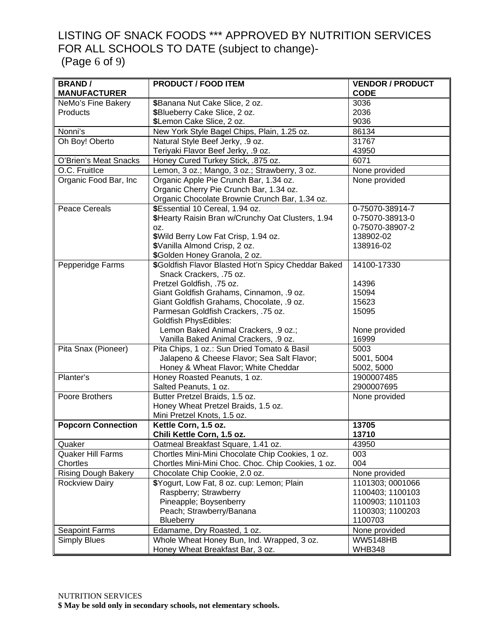#### LISTING OF SNACK FOODS \*\*\* APPROVED BY NUTRITION SERVICES FOR ALL SCHOOLS TO DATE (subject to change)- (Page 6 of 9)

| <b>BRAND/</b>              | <b>PRODUCT / FOOD ITEM</b>                          | <b>VENDOR / PRODUCT</b> |
|----------------------------|-----------------------------------------------------|-------------------------|
| <b>MANUFACTURER</b>        |                                                     | <b>CODE</b>             |
| NeMo's Fine Bakery         | \$Banana Nut Cake Slice, 2 oz.                      | 3036                    |
| Products                   | \$Blueberry Cake Slice, 2 oz.                       | 2036                    |
|                            | \$Lemon Cake Slice, 2 oz.                           | 9036                    |
| Nonni's                    | New York Style Bagel Chips, Plain, 1.25 oz.         | 86134                   |
| Oh Boy! Oberto             | Natural Style Beef Jerky, .9 oz.                    | 31767                   |
|                            | Teriyaki Flavor Beef Jerky, .9 oz.                  | 43950                   |
| O'Brien's Meat Snacks      | Honey Cured Turkey Stick, .875 oz.                  | 6071                    |
| O.C. Fruitlce              | Lemon, 3 oz.; Mango, 3 oz.; Strawberry, 3 oz.       | None provided           |
| Organic Food Bar, Inc      | Organic Apple Pie Crunch Bar, 1.34 oz.              | None provided           |
|                            | Organic Cherry Pie Crunch Bar, 1.34 oz.             |                         |
|                            | Organic Chocolate Brownie Crunch Bar, 1.34 oz.      |                         |
| <b>Peace Cereals</b>       | \$Essential 10 Cereal, 1.94 oz.                     | 0-75070-38914-7         |
|                            | \$Hearty Raisin Bran w/Crunchy Oat Clusters, 1.94   | 0-75070-38913-0         |
|                            | OZ.                                                 | 0-75070-38907-2         |
|                            | \$Wild Berry Low Fat Crisp, 1.94 oz.                | 138902-02               |
|                            | \$Vanilla Almond Crisp, 2 oz.                       | 138916-02               |
|                            | \$Golden Honey Granola, 2 oz.                       |                         |
| Pepperidge Farms           | \$Goldfish Flavor Blasted Hot'n Spicy Cheddar Baked | 14100-17330             |
|                            | Snack Crackers, .75 oz.                             |                         |
|                            | Pretzel Goldfish, .75 oz.                           | 14396                   |
|                            | Giant Goldfish Grahams, Cinnamon, .9 oz.            | 15094                   |
|                            | Giant Goldfish Grahams, Chocolate, .9 oz.           | 15623                   |
|                            | Parmesan Goldfish Crackers, .75 oz.                 | 15095                   |
|                            | <b>Goldfish PhysEdibles:</b>                        |                         |
|                            | Lemon Baked Animal Crackers, .9 oz.;                | None provided           |
|                            | Vanilla Baked Animal Crackers, .9 oz.               | 16999                   |
| Pita Snax (Pioneer)        | Pita Chips, 1 oz.: Sun Dried Tomato & Basil         | 5003                    |
|                            | Jalapeno & Cheese Flavor; Sea Salt Flavor;          | 5001, 5004              |
|                            | Honey & Wheat Flavor; White Cheddar                 | 5002, 5000              |
| Planter's                  | Honey Roasted Peanuts, 1 oz.                        | 1900007485              |
|                            | Salted Peanuts, 1 oz.                               | 2900007695              |
| Poore Brothers             | Butter Pretzel Braids, 1.5 oz.                      | None provided           |
|                            | Honey Wheat Pretzel Braids, 1.5 oz.                 |                         |
|                            | Mini Pretzel Knots, 1.5 oz.                         |                         |
| <b>Popcorn Connection</b>  | Kettle Corn, 1.5 oz.                                | 13705                   |
|                            | Chili Kettle Corn, 1.5 oz.                          | 13710                   |
| Quaker                     | Oatmeal Breakfast Square, 1.41 oz.                  | 43950                   |
| <b>Quaker Hill Farms</b>   | Chortles Mini-Mini Chocolate Chip Cookies, 1 oz.    | 003                     |
| Chortles                   | Chortles Mini-Mini Choc. Choc. Chip Cookies, 1 oz.  | 004                     |
| <b>Rising Dough Bakery</b> | Chocolate Chip Cookie, 2.0 oz.                      | None provided           |
| Rockview Dairy             | \$Yogurt, Low Fat, 8 oz. cup: Lemon; Plain          | 1101303; 0001066        |
|                            | Raspberry; Strawberry                               | 1100403; 1100103        |
|                            | Pineapple; Boysenberry                              | 1100903; 1101103        |
|                            | Peach; Strawberry/Banana                            | 1100303; 1100203        |
|                            | Blueberry                                           | 1100703                 |
| <b>Seapoint Farms</b>      | Edamame, Dry Roasted, 1 oz.                         | None provided           |
| <b>Simply Blues</b>        | Whole Wheat Honey Bun, Ind. Wrapped, 3 oz.          | <b>WW5148HB</b>         |
|                            | Honey Wheat Breakfast Bar, 3 oz.                    | <b>WHB348</b>           |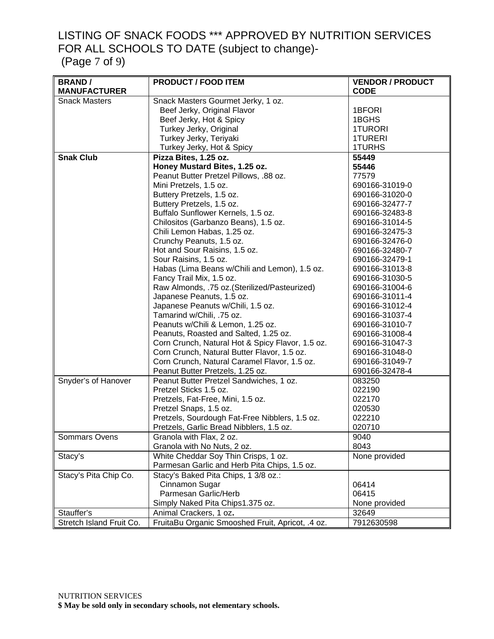## LISTING OF SNACK FOODS \*\*\* APPROVED BY NUTRITION SERVICES FOR ALL SCHOOLS TO DATE (subject to change)-

(Page 7 of 9)

| <b>BRAND/</b>            | <b>PRODUCT / FOOD ITEM</b>                       | <b>VENDOR / PRODUCT</b> |
|--------------------------|--------------------------------------------------|-------------------------|
| <b>MANUFACTURER</b>      |                                                  | <b>CODE</b>             |
| <b>Snack Masters</b>     | Snack Masters Gourmet Jerky, 1 oz.               |                         |
|                          | Beef Jerky, Original Flavor                      | 1BFORI                  |
|                          | Beef Jerky, Hot & Spicy                          | 1BGHS                   |
|                          | Turkey Jerky, Original                           | <b>1TURORI</b>          |
|                          | Turkey Jerky, Teriyaki                           | <b>1TURERI</b>          |
|                          | Turkey Jerky, Hot & Spicy                        | 1TURHS                  |
| <b>Snak Club</b>         | Pizza Bites, 1.25 oz.                            | 55449                   |
|                          | Honey Mustard Bites, 1.25 oz.                    | 55446                   |
|                          | Peanut Butter Pretzel Pillows, .88 oz.           | 77579                   |
|                          | Mini Pretzels, 1.5 oz.                           | 690166-31019-0          |
|                          | Buttery Pretzels, 1.5 oz.                        | 690166-31020-0          |
|                          | Buttery Pretzels, 1.5 oz.                        | 690166-32477-7          |
|                          | Buffalo Sunflower Kernels, 1.5 oz.               | 690166-32483-8          |
|                          | Chilositos (Garbanzo Beans), 1.5 oz.             | 690166-31014-5          |
|                          | Chili Lemon Habas, 1.25 oz.                      | 690166-32475-3          |
|                          | Crunchy Peanuts, 1.5 oz.                         | 690166-32476-0          |
|                          | Hot and Sour Raisins, 1.5 oz.                    | 690166-32480-7          |
|                          | Sour Raisins, 1.5 oz.                            | 690166-32479-1          |
|                          | Habas (Lima Beans w/Chili and Lemon), 1.5 oz.    | 690166-31013-8          |
|                          | Fancy Trail Mix, 1.5 oz.                         | 690166-31030-5          |
|                          | Raw Almonds, .75 oz. (Sterilized/Pasteurized)    | 690166-31004-6          |
|                          | Japanese Peanuts, 1.5 oz.                        | 690166-31011-4          |
|                          | Japanese Peanuts w/Chili, 1.5 oz.                | 690166-31012-4          |
|                          | Tamarind w/Chili, .75 oz.                        | 690166-31037-4          |
|                          | Peanuts w/Chili & Lemon, 1.25 oz.                | 690166-31010-7          |
|                          | Peanuts, Roasted and Salted, 1.25 oz.            | 690166-31008-4          |
|                          | Corn Crunch, Natural Hot & Spicy Flavor, 1.5 oz. | 690166-31047-3          |
|                          | Corn Crunch, Natural Butter Flavor, 1.5 oz.      | 690166-31048-0          |
|                          | Corn Crunch, Natural Caramel Flavor, 1.5 oz.     | 690166-31049-7          |
|                          | Peanut Butter Pretzels, 1.25 oz.                 | 690166-32478-4          |
| Snyder's of Hanover      | Peanut Butter Pretzel Sandwiches, 1 oz.          | 083250                  |
|                          | Pretzel Sticks 1.5 oz.                           | 022190                  |
|                          | Pretzels, Fat-Free, Mini, 1.5 oz.                | 022170                  |
|                          | Pretzel Snaps, 1.5 oz.                           | 020530                  |
|                          | Pretzels, Sourdough Fat-Free Nibblers, 1.5 oz.   | 022210                  |
|                          | Pretzels, Garlic Bread Nibblers, 1.5 oz.         | 020710                  |
| Sommars Ovens            | Granola with Flax, 2 oz.                         | 9040                    |
|                          | Granola with No Nuts, 2 oz.                      | 8043                    |
| Stacy's                  | White Cheddar Soy Thin Crisps, 1 oz.             | None provided           |
|                          | Parmesan Garlic and Herb Pita Chips, 1.5 oz.     |                         |
| Stacy's Pita Chip Co.    | Stacy's Baked Pita Chips, 1 3/8 oz.:             |                         |
|                          | Cinnamon Sugar                                   | 06414                   |
|                          | Parmesan Garlic/Herb                             | 06415                   |
|                          | Simply Naked Pita Chips1.375 oz.                 | None provided           |
| Stauffer's               | Animal Crackers, 1 oz.                           | 32649                   |
| Stretch Island Fruit Co. | FruitaBu Organic Smooshed Fruit, Apricot, .4 oz. | 7912630598              |
|                          |                                                  |                         |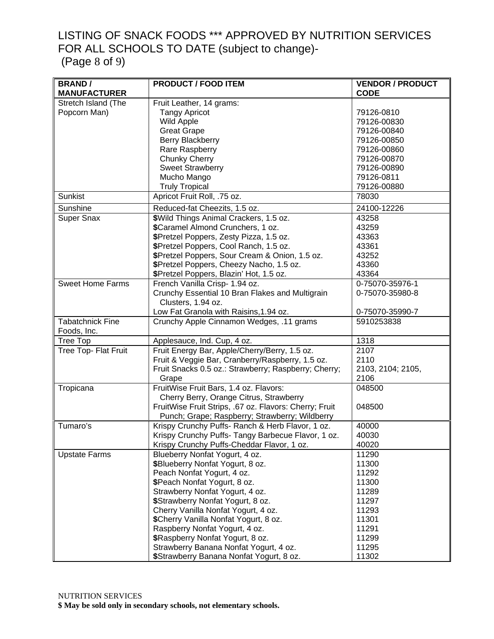### LISTING OF SNACK FOODS \*\*\* APPROVED BY NUTRITION SERVICES FOR ALL SCHOOLS TO DATE (subject to change)- (Page 8 of 9)

| <b>BRAND/</b>           | <b>PRODUCT / FOOD ITEM</b>                             | <b>VENDOR / PRODUCT</b> |
|-------------------------|--------------------------------------------------------|-------------------------|
| <b>MANUFACTURER</b>     |                                                        | <b>CODE</b>             |
| Stretch Island (The     | Fruit Leather, 14 grams:                               |                         |
| Popcorn Man)            | <b>Tangy Apricot</b>                                   | 79126-0810              |
|                         | <b>Wild Apple</b>                                      | 79126-00830             |
|                         | <b>Great Grape</b>                                     | 79126-00840             |
|                         | Berry Blackberry                                       | 79126-00850             |
|                         | Rare Raspberry                                         | 79126-00860             |
|                         | Chunky Cherry                                          | 79126-00870             |
|                         | <b>Sweet Strawberry</b>                                | 79126-00890             |
|                         | Mucho Mango                                            | 79126-0811              |
|                         | <b>Truly Tropical</b>                                  | 79126-00880             |
| <b>Sunkist</b>          | Apricot Fruit Roll, .75 oz.                            | 78030                   |
| Sunshine                | Reduced-fat Cheezits, 1.5 oz.                          | 24100-12226             |
| <b>Super Snax</b>       | \$Wild Things Animal Crackers, 1.5 oz.                 | 43258                   |
|                         | \$Caramel Almond Crunchers, 1 oz.                      | 43259                   |
|                         | \$Pretzel Poppers, Zesty Pizza, 1.5 oz.                | 43363                   |
|                         | \$Pretzel Poppers, Cool Ranch, 1.5 oz.                 | 43361                   |
|                         | \$Pretzel Poppers, Sour Cream & Onion, 1.5 oz.         | 43252                   |
|                         | \$Pretzel Poppers, Cheezy Nacho, 1.5 oz.               | 43360                   |
|                         | \$Pretzel Poppers, Blazin' Hot, 1.5 oz.                | 43364                   |
| <b>Sweet Home Farms</b> | French Vanilla Crisp- 1.94 oz.                         | 0-75070-35976-1         |
|                         | Crunchy Essential 10 Bran Flakes and Multigrain        | 0-75070-35980-8         |
|                         | Clusters, 1.94 oz.                                     |                         |
|                         | Low Fat Granola with Raisins, 1.94 oz.                 | 0-75070-35990-7         |
| <b>Tabatchnick Fine</b> | Crunchy Apple Cinnamon Wedges, .11 grams               | 5910253838              |
| Foods, Inc.             |                                                        |                         |
| <b>Tree Top</b>         | Applesauce, Ind. Cup, 4 oz.                            | 1318                    |
| Tree Top- Flat Fruit    | Fruit Energy Bar, Apple/Cherry/Berry, 1.5 oz.          | 2107                    |
|                         | Fruit & Veggie Bar, Cranberry/Raspberry, 1.5 oz.       | 2110                    |
|                         | Fruit Snacks 0.5 oz.: Strawberry; Raspberry; Cherry;   | 2103, 2104; 2105,       |
|                         | Grape                                                  | 2106                    |
| Tropicana               | FruitWise Fruit Bars, 1.4 oz. Flavors:                 | 048500                  |
|                         | Cherry Berry, Orange Citrus, Strawberry                |                         |
|                         | FruitWise Fruit Strips, .67 oz. Flavors: Cherry; Fruit | 048500                  |
|                         | Punch; Grape; Raspberry; Strawberry; Wildberry         |                         |
| Tumaro's                | Krispy Crunchy Puffs- Ranch & Herb Flavor, 1 oz.       | 40000                   |
|                         | Krispy Crunchy Puffs- Tangy Barbecue Flavor, 1 oz.     | 40030                   |
|                         | Krispy Crunchy Puffs-Cheddar Flavor, 1 oz.             | 40020                   |
| <b>Upstate Farms</b>    | Blueberry Nonfat Yogurt, 4 oz.                         | 11290                   |
|                         | \$Blueberry Nonfat Yogurt, 8 oz.                       | 11300                   |
|                         | Peach Nonfat Yogurt, 4 oz.                             | 11292                   |
|                         | \$Peach Nonfat Yogurt, 8 oz.                           | 11300                   |
|                         | Strawberry Nonfat Yogurt, 4 oz.                        | 11289                   |
|                         | \$Strawberry Nonfat Yogurt, 8 oz.                      | 11297                   |
|                         | Cherry Vanilla Nonfat Yogurt, 4 oz.                    | 11293                   |
|                         | \$Cherry Vanilla Nonfat Yogurt, 8 oz.                  | 11301                   |
|                         | Raspberry Nonfat Yogurt, 4 oz.                         | 11291                   |
|                         | \$Raspberry Nonfat Yogurt, 8 oz.                       | 11299                   |
|                         | Strawberry Banana Nonfat Yogurt, 4 oz.                 | 11295                   |
|                         | \$Strawberry Banana Nonfat Yogurt, 8 oz.               | 11302                   |